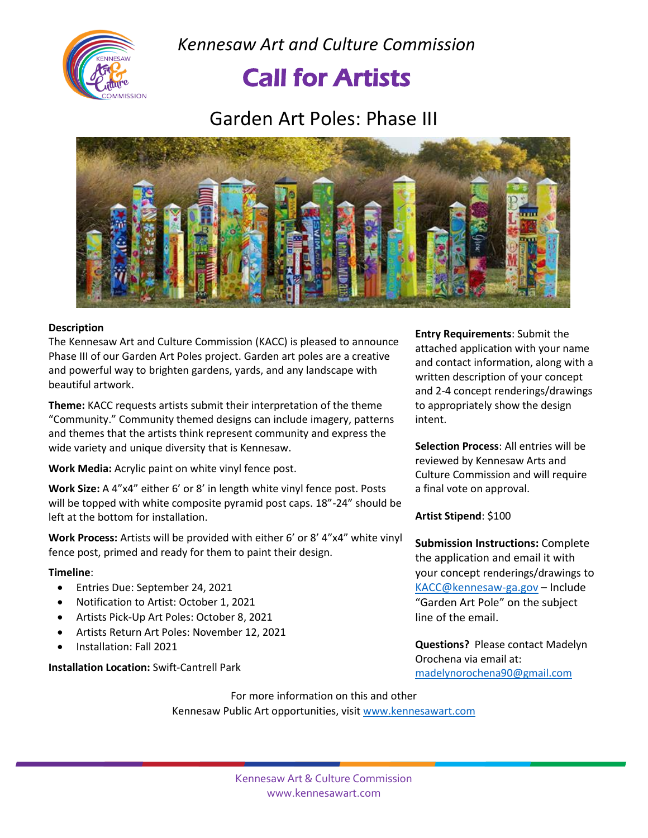

*Kennesaw Art and Culture Commission*

# Call for Artists

### Garden Art Poles: Phase III



#### **Description**

The Kennesaw Art and Culture Commission (KACC) is pleased to announce Phase III of our Garden Art Poles project. Garden art poles are a creative and powerful way to brighten gardens, yards, and any landscape with beautiful artwork.

**Theme:** KACC requests artists submit their interpretation of the theme "Community." Community themed designs can include imagery, patterns and themes that the artists think represent community and express the wide variety and unique diversity that is Kennesaw.

**Work Media:** Acrylic paint on white vinyl fence post.

**Work Size:** A 4"x4" either 6' or 8' in length white vinyl fence post. Posts will be topped with white composite pyramid post caps. 18"-24" should be left at the bottom for installation.

**Work Process:** Artists will be provided with either 6' or 8' 4"x4" white vinyl fence post, primed and ready for them to paint their design.

#### **Timeline**:

- Entries Due: September 24, 2021
- Notification to Artist: October 1, 2021
- Artists Pick-Up Art Poles: October 8, 2021
- Artists Return Art Poles: November 12, 2021
- Installation: Fall 2021

**Installation Location:** Swift-Cantrell Park

**Entry Requirements**: Submit the attached application with your name and contact information, along with a written description of your concept and 2-4 concept renderings/drawings to appropriately show the design intent.

**Selection Process**: All entries will be reviewed by Kennesaw Arts and Culture Commission and will require a final vote on approval.

#### **Artist Stipend**: \$100

**Submission Instructions:** Complete the application and email it with your concept renderings/drawings to [KACC@kennesaw-ga.gov](mailto:KACC@kennesaw-ga.gov) – Include "Garden Art Pole" on the subject line of the email.

**Questions?** Please contact Madelyn Orochena via email at: [madelynorochena90@gmail.com](mailto:madelynorochena90@gmail.com)

For more information on this and other Kennesaw Public Art opportunities, visit [www.kennesawart.com](http://www.kennesawart.com/)

> Kennesaw Art & Culture Commission www.kennesawart.com